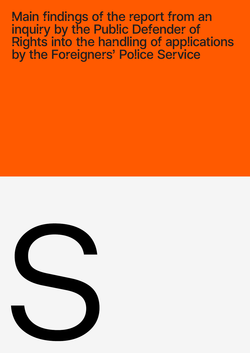Main findings of the report from an inquiry by the Public Defender of Rights into the handling of applications by the Foreigners' Police Service

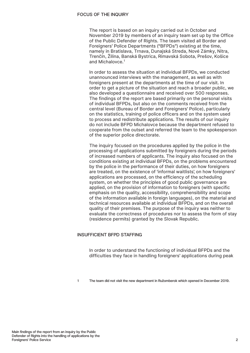### FOCUS OF THE INQUIRY

The report is based on an inquiry carried out in October and November 2019 by members of an inquiry team set up by the Office of the Public Defender of Rights. The team visited all Border and Foreigners' Police Departments ("BFPDs") existing at the time, namely in Bratislava, Trnava, Dunajská Streda, Nové Zámky, Nitra, Trenčín, Žilina, Banská Bystrica, Rimavská Sobota, Prešov, Košice and Michalovce.<sup>1</sup>

In order to assess the situation at individual BFPDs, we conducted unannounced interviews with the management, as well as with foreigners present at the departments at the time of our visit. In order to get a picture of the situation and reach a broader public, we also developed a questionnaire and received over 500 responses. The findings of the report are based primarily on the personal visits of individual BFPDs, but also on the comments received from the central level (Bureau of Border and Foreigners' Police), particularly on the statistics, training of police officers and on the system used to process and redistribute applications. The results of our inquiry do not include BFPD Michalovce because the department refused to cooperate from the outset and referred the team to the spokesperson of the superior police directorate.

The inquiry focused on the procedures applied by the police in the processing of applications submitted by foreigners during the periods of increased numbers of applicants. The inquiry also focused on the conditions existing at individual BFPDs, on the problems encountered by the police in the performance of their duties, on how foreigners are treated, on the existence of 'informal waitlists', on how foreigners' applications are processed, on the efficiency of the scheduling system, on whether the principles of good public governance are applied, on the provision of information to foreigners (with specific emphasis on the quality, accessibility, comprehensibility and scope of the information available in foreign languages), on the material and technical resources available at individual BFPDs, and on the overall quality of their premises. The purpose of the inquiry was neither to evaluate the correctness of procedures nor to assess the form of stay (residence permits) granted by the Slovak Republic.

# INSUFFICIENT BFPD STAFFING

In order to understand the functioning of individual BFPDs and the difficulties they face in handling foreigners' applications during peak

1 The team did not visit the new department in Ružomberok which opened in December 2019.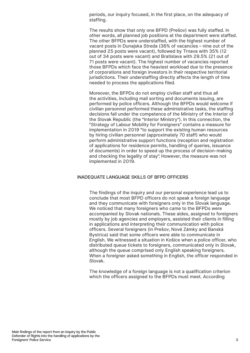periods, our inquiry focused, in the first place, on the adequacy of staffing.

The results show that only one BFPD (Prešov) was fully staffed. In other words, all planned job positions at the department were staffed. The other BFPDs were understaffed, with the highest number of vacant posts in Dunajska Streda (36% of vacancies – nine out of the planned 25 posts were vacant), followed by Trnava with 35% (12 out of 34 posts were vacant) and Bratislava with 29.5% (21 out of 71 posts were vacant). The highest number of vacancies reported those BFPDs which face the heaviest workload due to the presence of corporations and foreign investors in their respective territorial jurisdictions. Their understaffing directly affects the length of time needed to process the applications filed.

Moreover, the BFPDs do not employ civilian staff and thus all the activities, including mail sorting and documents issuing, are performed by police officers. Although the BFPDs would welcome if civilian personnel performed these administrative tasks, the staffing decisions fall under the competence of the Ministry of the Interior of the Slovak Republic (the "Interior Ministry"). In this connection, the "Strategy of Labour Mobility for Foreigners" contains a measure for implementation in 2019 "to support the existing human resources by hiring civilian personnel (approximately 70 staff) who would perform administrative support functions (reception and registration of applications for residence permits, handling of queries, issuance of documents) in order to speed up the process of decision-making and checking the legality of stay". However, the measure was not implemented in 2019.

## INADEQUATE LANGUAGE SKILLS OF BFPD OFFICERS

The findings of the inquiry and our personal experience lead us to conclude that most BFPD officers do not speak a foreign language and they communicate with foreigners only in the Slovak language. We noticed that many foreigners who came to the BFPDs were accompanied by Slovak nationals. These aides, assigned to foreigners mostly by job agencies and employers, assisted their clients in filling in applications and interpreting their communication with police officers. Several foreigners (in Prešov, Nové Zámky and Banská Bystrica) said that some officers were able to communicate in English. We witnessed a situation in Košice when a police officer, who distributed queue tickets to foreigners, communicated only in Slovak, although the queue comprised only English speaking foreigners. When a foreigner asked something in English, the officer responded in Slovak.

The knowledge of a foreign language is not a qualification criterion which the officers assigned to the BFPDs must meet. According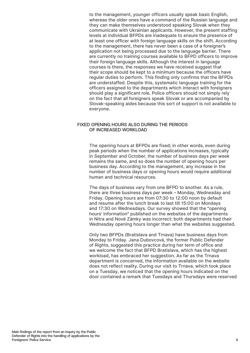to the management, younger officers usually speak basic English, whereas the older ones have a command of the Russian language and they can make themselves understood speaking Slovak when they communicate with Ukrainian applicants. However, the present staffing levels at individual BFPDs are inadequate to ensure the presence of at least one officer with foreign language skills on the shift. According to the management, there has never been a case of a foreigner's application not being processed due to the language barrier. There are currently no training courses available to BFPD officers to improve their foreign language skills. Although the interest in language courses is there, the responses we have received suggest that their scope should be kept to a minimum because the officers have regular duties to perform. This finding only confirms that the BFPDs are understaffed. Despite this, systematic language training for the officers assigned to the departments which interact with foreigners should play a significant role. Police officers should not simply rely on the fact that all foreigners speak Slovak or are accompanied by Slovak-speaking aides because this sort of support is not available to everyone.

### FIXED OPENING HOURS ALSO DURING THE PERIODS OF INCREASED WORKLOAD

The opening hours at BFPDs are fixed; in other words, even during peak periods when the number of applications increases, typically in September and October, the number of business days per week remains the same, and so does the number of opening hours per business day. According to the management, any increase in the number of business days or opening hours would require additional human and technical resources.

The days of business vary from one BFPD to another. As a rule, there are three business days per week – Monday, Wednesday and Friday. Opening hours are from 07:30 to 12:00 noon by default and resume after the lunch break to last till 15:00 on Mondays and 17:30 on Wednesdays. Our survey showed that the "opening hours' information" published on the websites of the departments in Nitra and Nové Zámky was incorrect: both departments had their Wednesday opening hours longer than what the websites suggested.

Only two BFPDs (Bratislava and Trnava) have business days from Monday to Friday. Jana Dubovcová, the former Public Defender of Rights, suggested this practice during her term of office and we welcome the fact that BFPD Bratislava, which has the highest workload, has embraced her suggestion. As far as the Trnava department is concerned, the information available on the website does not reflect reality. During our visit to Trnava, which took place on a Tuesday, we noticed that the opening hours indicated on the door contained a remark that Tuesdays and Thursdays were reserved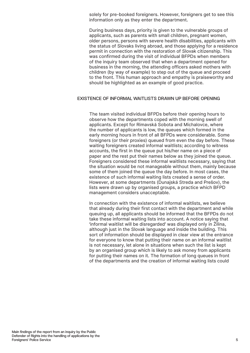solely for pre-booked foreigners. However, foreigners get to see this information only as they enter the department.

During business days, priority is given to the vulnerable groups of applicants, such as parents with small children, pregnant women, older persons, persons with severe health disabilities, applicants with the status of Slovaks living abroad, and those applying for a residence permit in connection with the restoration of Slovak citizenship. This was confirmed during the visit of individual BFPDs when members of the inquiry team observed that when a department opened for business in the morning, the attending officers asked mothers with children (by way of example) to step out of the queue and proceed to the front. This human approach and empathy is praiseworthy and should be highlighted as an example of good practice.

### EXISTENCE OF INFORMAL WAITLISTS DRAWN UP BEFORE OPENING

The team visited individual BFPDs before their opening hours to observe how the departments coped with the morning swell of applicants. Except for Rimavská Sobota and Michalovce, where the number of applicants is low, the queues which formed in the early morning hours in front of all BFPDs were considerable. Some foreigners (or their proxies) queued from even the day before. These waiting foreigners created informal waitlists; according to witness accounts, the first in the queue put his/her name on a piece of paper and the rest put their names below as they joined the queue. Foreigners considered these informal waitlists necessary, saying that the situation would be not manageable without them, mainly because some of them joined the queue the day before. In most cases, the existence of such informal waiting lists created a sense of order. However, at some departments (Dunajská Streda and Prešov), the lists were drawn up by organised groups, a practice which BFPD management considers unacceptable.

In connection with the existence of informal waitlists, we believe that already during their first contact with the department and while queuing up, all applicants should be informed that the BFPDs do not take these informal waiting lists into account. A notice saying that 'informal waitlist will be disregarded' was displayed only in Žilina, although just in the Slovak language and inside the building. This sort of information should be displayed in clear view at the entrance for everyone to know that putting their name on an informal waitlist is not necessary, let alone in situations when such the list is kept by an organised group which is likely to ask money from applicants for putting their names on it. The formation of long queues in front of the departments and the creation of informal waiting lists could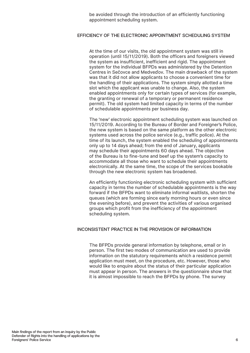be avoided through the introduction of an efficiently functioning appointment scheduling system.

## EFFICIENCY OF THE ELECTRONIC APPOINTMENT SCHEDULING SYSTEM

At the time of our visits, the old appointment system was still in operation (until 15/11/2019). Both the officers and foreigners viewed the system as insufficient, inefficient and rigid. The appointment system for the individual BFPDs was administered by the Detention Centres in Sečovce and Medveďov. The main drawback of the system was that it did not allow applicants to choose a convenient time for the handling of their applications. The system simply allotted a time slot which the applicant was unable to change. Also, the system enabled appointments only for certain types of services (for example, the granting or renewal of a temporary or permanent residence permit). The old system had limited capacity in terms of the number of schedulable appointments per business day.

The 'new' electronic appointment scheduling system was launched on 15/11/2019. According to the Bureau of Border and Foreigner's Police, the new system is based on the same platform as the other electronic systems used across the police service (e.g., traffic police). At the time of its launch, the system enabled the scheduling of appointments only up to 14 days ahead; from the end of January, applicants may schedule their appointments 60 days ahead. The objective of the Bureau is to fine-tune and beef up the system's capacity to accommodate all those who want to schedule their appointments electronically. At the same time, the scope of the services bookable through the new electronic system has broadened.

An efficiently functioning electronic scheduling system with sufficient capacity in terms the number of schedulable appointments is the way forward if the BFPDs want to eliminate informal waitlists, shorten the queues (which are forming since early morning hours or even since the evening before), and prevent the activities of various organised groups which profit from the inefficiency of the appointment scheduling system.

### INCONSISTENT PRACTICE IN THE PROVISION OF INFORMATION

The BFPDs provide general information by telephone, email or in person. The first two modes of communication are used to provide information on the statutory requirements which a residence permit application must meet, on the procedure, etc. However, those who would like to enquire about the status of their particular application must appear in person. The answers in the questionnaire show that it is almost impossible to reach the BFPDs by phone. The survey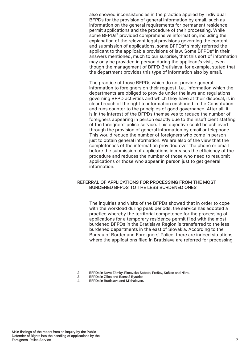also showed inconsistencies in the practice applied by individual BFPDs for the provision of general information by email, such as information on the general requirements for permanent residence permit applications and the procedure of their processing. While some BFPDs<sup>2</sup> provided comprehensive information, including the explanation of the relevant legal provisions governing the content and submission of applications, some BFPDs<sup>3</sup> simply referred the applicant to the applicable provisions of law. Some BFPDs<sup>4</sup> in their answers mentioned, much to our surprise, that this sort of information may only be provided in person during the applicant's visit, even though the management of BFPD Bratislava, for example, stated that the department provides this type of information also by email.

The practice of those BFPDs which do not provide general information to foreigners on their request, i.e., information which the departments are obliged to provide under the laws and regulations governing BFPD activities and which they have at their disposal, is in clear breach of the right to information enshrined in the Constitution and runs counter to the principles of good governance. After all, it is in the interest of the BFPDs themselves to reduce the number of foreigners appearing in person exactly due to the insufficient staffing of the foreigners' police service. This objective could be achieved through the provision of general information by email or telephone. This would reduce the number of foreigners who come in person just to obtain general information. We are also of the view that the completeness of the information provided over the phone or email before the submission of applications increases the efficiency of the procedure and reduces the number of those who need to resubmit applications or those who appear in person just to get general information.

## REFERRAL OF APPLICATIONS FOR PROCESSING FROM THE MOST BURDENED BFPDS TO THE LESS BURDENED ONES

The inquiries and visits of the BFPDs showed that in order to cope with the workload during peak periods, the service has adopted a practice whereby the territorial competence for the processing of applications for a temporary residence permit filed with the most burdened BFPDs in the Bratislava Region is transferred to the less burdened departments in the east of Slovakia. According to the Bureau of Border and Foreigners' Police, there are indeed situations where the applications filed in Bratislava are referred for processing

2 BFPDs in Nové Zámky, Rimavská Sobota, Prešov, Košice and Nitra.

- 
- 3 BFPDs in Žilina and Banská Bystrica 4 BFPDs in Bratislava and Michalovce.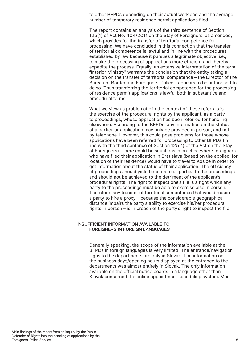to other BFPDs depending on their actual workload and the average number of temporary residence permit applications filed.

The report contains an analysis of the third sentence of Section 125(1) of Act No. 404/2011 on the Stay of Foreigners, as amended, which provides for the transfer of territorial competence for processing. We have concluded in this connection that the transfer of territorial competence is lawful and in line with the procedures established by law because it pursues a legitimate objective, i.e., to make the processing of applications more efficient and thereby expedite the process. Equally, an extensive interpretation of the term "Interior Ministry" warrants the conclusion that the entity taking a decision on the transfer of territorial competence – the Director of the Bureau of Border and Foreigners' Police – appears to be authorised to do so. Thus transferring the territorial competence for the processing of residence permit applications is lawful both in substantive and procedural terms.

What we view as problematic in the context of these referrals is the exercise of the procedural rights by the applicant, as a party to proceedings, whose application has been referred for handling elsewhere. According to the BFPDs, any information on the status of a particular application may only be provided in person, and not by telephone. However, this could pose problems for those whose applications have been referred for processing to other BFPDs (in line with the third sentence of Section 125(1) of the Act on the Stay of Foreigners). There could be situations in practice where foreigners who have filed their application in Bratislava (based on the applied-for location of their residence) would have to travel to Košice in order to get information about the status of their application. The efficiency of proceedings should yield benefits to all parties to the proceedings and should not be achieved to the detriment of the applicant's procedural rights. The right to inspect one's file is a right which any party to the proceedings must be able to exercise also in person. Therefore, any transfer of territorial competence that would require a party to hire a proxy – because the considerable geographical distance impairs the party's ability to exercise his/her procedural rights in person – is in breach of the party's right to inspect the file.

## INSUFFICIENT INFORMATION AVAILABLE TO FOREIGNERS IN FOREIGN LANGUAGES

Generally speaking, the scope of the information available at the BFPDs in foreign languages is very limited. The entrance/navigation signs to the departments are only in Slovak. The information on the business days/opening hours displayed at the entrance to the departments was almost entirely in Slovak. The only information available on the official notice boards in a language other than Slovak concerned the online appointment scheduling system. Most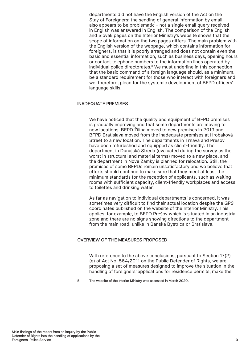departments did not have the English version of the Act on the Stay of Foreigners; the sending of general information by email also appears to be problematic – not a single email query received in English was answered in English. The comparison of the English and Slovak pages on the Interior Ministry's website shows that the scope of information on the two pages differs. The main problem with the English version of the webpage, which contains information for foreigners, is that it is poorly arranged and does not contain even the basic and essential information, such as business days, opening hours or contact telephone numbers to the information lines operated by individual police directorates.<sup>5</sup> We must underline in this connection that the basic command of a foreign language should, as a minimum, be a standard requirement for those who interact with foreigners and we, therefore, plead for the systemic development of BFPD officers' language skills.

#### INADEQUATE PREMISES

We have noticed that the quality and equipment of BFPD premises is gradually improving and that some departments are moving to new locations. BFPD Žilina moved to new premises in 2019 and BFPD Bratislava moved from the inadequate premises at Hrobaková Street to a new location. The departments in Trnava and Prešov have been refurbished and equipped as client-friendly. The department in Dunajská Streda (evaluated during the survey as the worst in structural and material terms) moved to a new place, and the department in Nove Zámky is planned for relocation. Still, the premises of some BFPDs remain unsatisfactory and we believe that efforts should continue to make sure that they meet at least the minimum standards for the reception of applicants, such as waiting rooms with sufficient capacity, client-friendly workplaces and access to toilettes and drinking water.

As far as navigation to individual departments is concerned, it was sometimes very difficult to find their actual location despite the GPS coordinates published on the website of the Interior Ministry. This applies, for example, to BFPD Prešov which is situated in an industrial zone and there are no signs showing directions to the department from the main road, unlike in Banská Bystrica or Bratislava.

#### OVERVIEW OF THE MEASURES PROPOSED

With reference to the above conclusions, pursuant to Section 17(2) (e) of Act No. 564/2011 on the Public Defender of Rights, we are proposing a set of measures designed to improve the situation in the handling of foreigners' applications for residence permits, make the

5 The website of the Interior Ministry was assessed in March 2020.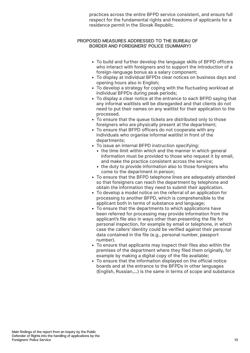practices across the entire BFPD service consistent, and ensure full respect for the fundamental rights and freedoms of applicants for a residence permit in the Slovak Republic.

# PROPOSED MEASURES ADDRESSED TO THE BUREAU OF BORDER AND FOREIGNERS' POLICE (SUMMARY)

- To build and further develop the language skills of BFPD officers who interact with foreigners and to support the introduction of a foreign-language bonus as a salary component;
- To display at individual BFPDs clear notices on business days and opening hours also in English;
- To develop a strategy for coping with the fluctuating workload at individual BFPDs during peak periods;
- To display a clear notice at the entrance to each BFPD saying that any informal waitlists will be disregarded and that clients do not need to put their names on any waitlist for their application to the processed.
- To ensure that the queue tickets are distributed only to those foreigners who are physically present at the department;
- To ensure that BFPD officers do not cooperate with any individuals who organise informal waitlist in front of the departments;
- To issue an internal BFPD instruction specifying:
	- the time limit within which and the manner in which general information must be provided to those who request it by email, and make the practice consistent across the service;
	- the duty to provide information also to those foreigners who come to the department in person;
- To ensure that the BFPD telephone lines are adequately attended so that foreigners can reach the department by telephone and obtain the information they need to submit their application.
- To develop a model notice on the referral of an application for processing to another BFPD, which is comprehensible to the applicant both in terms of substance and language;
- To ensure that the departments to which applications have been referred for processing may provide information from the applicant's file also in ways other than presenting the file for personal inspection, for example by email or telephone, in which case the callers' identity could be verified against their personal data contained in the file (e.g., personal number, passport number).
- To ensure that applicants may inspect their files also within the premises of the department where they filed them originally, for example by making a digital copy of the file available;
- To ensure that the information displayed on the official notice boards and at the entrance to the BFPDs in other languages (English, Russian,…) is the same in terms of scope and substance